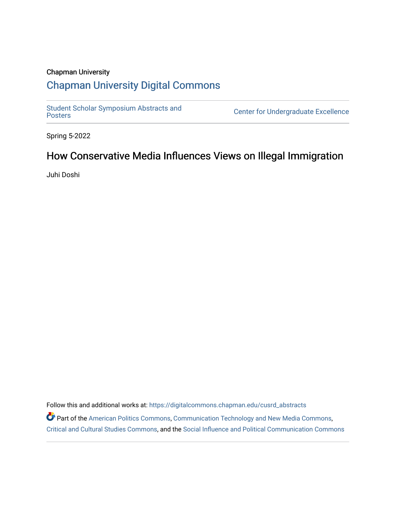### Chapman University

### [Chapman University Digital Commons](https://digitalcommons.chapman.edu/)

Student Scholar Symposium Abstracts and<br>Posters

Center for Undergraduate Excellence

Spring 5-2022

### How Conservative Media Influences Views on Illegal Immigration

Juhi Doshi

Follow this and additional works at: [https://digitalcommons.chapman.edu/cusrd\\_abstracts](https://digitalcommons.chapman.edu/cusrd_abstracts?utm_source=digitalcommons.chapman.edu%2Fcusrd_abstracts%2F531&utm_medium=PDF&utm_campaign=PDFCoverPages) 

Part of the [American Politics Commons,](http://network.bepress.com/hgg/discipline/387?utm_source=digitalcommons.chapman.edu%2Fcusrd_abstracts%2F531&utm_medium=PDF&utm_campaign=PDFCoverPages) [Communication Technology and New Media Commons,](http://network.bepress.com/hgg/discipline/327?utm_source=digitalcommons.chapman.edu%2Fcusrd_abstracts%2F531&utm_medium=PDF&utm_campaign=PDFCoverPages) [Critical and Cultural Studies Commons](http://network.bepress.com/hgg/discipline/328?utm_source=digitalcommons.chapman.edu%2Fcusrd_abstracts%2F531&utm_medium=PDF&utm_campaign=PDFCoverPages), and the [Social Influence and Political Communication Commons](http://network.bepress.com/hgg/discipline/337?utm_source=digitalcommons.chapman.edu%2Fcusrd_abstracts%2F531&utm_medium=PDF&utm_campaign=PDFCoverPages)